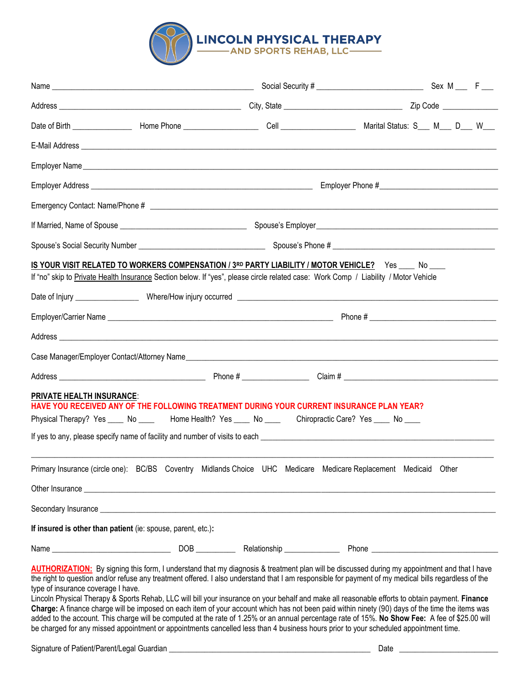

|                                                              | IS YOUR VISIT RELATED TO WORKERS COMPENSATION / 3RD PARTY LIABILITY / MOTOR VEHICLE? Yes ___ No ___<br>If "no" skip to Private Health Insurance Section below. If "yes", please circle related case: Work Comp / Liability / Motor Vehicle                                                                                                                                                                                                                                                                                                                                                                                                                                                                                                                                                                                                                                                            |  |
|--------------------------------------------------------------|-------------------------------------------------------------------------------------------------------------------------------------------------------------------------------------------------------------------------------------------------------------------------------------------------------------------------------------------------------------------------------------------------------------------------------------------------------------------------------------------------------------------------------------------------------------------------------------------------------------------------------------------------------------------------------------------------------------------------------------------------------------------------------------------------------------------------------------------------------------------------------------------------------|--|
|                                                              |                                                                                                                                                                                                                                                                                                                                                                                                                                                                                                                                                                                                                                                                                                                                                                                                                                                                                                       |  |
|                                                              |                                                                                                                                                                                                                                                                                                                                                                                                                                                                                                                                                                                                                                                                                                                                                                                                                                                                                                       |  |
|                                                              |                                                                                                                                                                                                                                                                                                                                                                                                                                                                                                                                                                                                                                                                                                                                                                                                                                                                                                       |  |
|                                                              |                                                                                                                                                                                                                                                                                                                                                                                                                                                                                                                                                                                                                                                                                                                                                                                                                                                                                                       |  |
| <b>PRIVATE HEALTH INSURANCE:</b>                             | HAVE YOU RECEIVED ANY OF THE FOLLOWING TREATMENT DURING YOUR CURRENT INSURANCE PLAN YEAR?<br>Physical Therapy? Yes ____ No ____ Home Health? Yes ____ No ____ Chiropractic Care? Yes ____ No ____                                                                                                                                                                                                                                                                                                                                                                                                                                                                                                                                                                                                                                                                                                     |  |
|                                                              | Primary Insurance (circle one): BC/BS Coventry Midlands Choice UHC Medicare Medicare Replacement Medicaid Other                                                                                                                                                                                                                                                                                                                                                                                                                                                                                                                                                                                                                                                                                                                                                                                       |  |
|                                                              | Other Insurance experience and the contract of the contract of the contract of the contract of the contract of the contract of the contract of the contract of the contract of the contract of the contract of the contract of                                                                                                                                                                                                                                                                                                                                                                                                                                                                                                                                                                                                                                                                        |  |
|                                                              | Secondary Insurance <b>contract to the contract of the contract of the contract of the contract of the contract of the contract of the contract of the contract of the contract of the contract of the contract of the contract </b>                                                                                                                                                                                                                                                                                                                                                                                                                                                                                                                                                                                                                                                                  |  |
| If insured is other than patient (ie: spouse, parent, etc.): |                                                                                                                                                                                                                                                                                                                                                                                                                                                                                                                                                                                                                                                                                                                                                                                                                                                                                                       |  |
|                                                              |                                                                                                                                                                                                                                                                                                                                                                                                                                                                                                                                                                                                                                                                                                                                                                                                                                                                                                       |  |
| type of insurance coverage I have.                           | AUTHORIZATION: By signing this form, I understand that my diagnosis & treatment plan will be discussed during my appointment and that I have<br>the right to question and/or refuse any treatment offered. I also understand that I am responsible for payment of my medical bills regardless of the<br>Lincoln Physical Therapy & Sports Rehab, LLC will bill your insurance on your behalf and make all reasonable efforts to obtain payment. Finance<br>Charge: A finance charge will be imposed on each item of your account which has not been paid within ninety (90) days of the time the items was<br>added to the account. This charge will be computed at the rate of 1.25% or an annual percentage rate of 15%. No Show Fee: A fee of \$25.00 will<br>be charged for any missed appointment or appointments cancelled less than 4 business hours prior to your scheduled appointment time. |  |

Signature of Patient/Parent/Legal Guardian \_\_\_\_\_\_\_\_\_\_\_\_\_\_\_\_\_\_\_\_\_\_\_\_\_\_\_\_\_\_\_\_\_\_\_\_\_\_\_\_\_\_\_\_\_\_\_\_\_\_\_ Date \_\_\_\_\_\_\_\_\_\_\_\_\_\_\_\_\_\_\_\_\_\_\_\_\_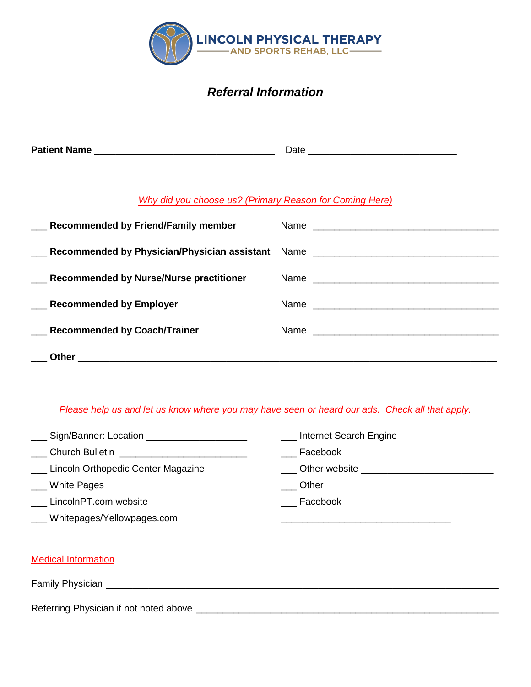

# *Referral Information*

| <b>Patient Name</b> | -- |  |
|---------------------|----|--|
|                     |    |  |

### *Why did you choose us? (Primary Reason for Coming Here)*

| Recommended by Friend/Family member                                                                                                                                                                                           |  |
|-------------------------------------------------------------------------------------------------------------------------------------------------------------------------------------------------------------------------------|--|
| Lackgrounded by Physician/Physician assistant Name Lackgrounder Manners Recommended by Physician/Physician assistant Name Lackgrounder and Manners Recommended by Physician/Physician assistant Name Lackgrounder and Manners |  |
| Recommended by Nurse/Nurse practitioner                                                                                                                                                                                       |  |
| <b>Recommended by Employer</b>                                                                                                                                                                                                |  |
| Recommended by Coach/Trainer                                                                                                                                                                                                  |  |
|                                                                                                                                                                                                                               |  |

### *Please help us and let us know where you may have seen or heard our ads. Check all that apply.*

- \_ Sign/Banner: Location \_\_\_\_\_\_\_\_\_\_\_\_\_\_\_\_\_\_\_\_\_
- \_\_\_ Church Bulletin \_\_\_\_\_\_\_\_\_\_\_\_\_\_\_\_\_\_\_\_\_\_\_\_
- \_\_\_ Lincoln Orthopedic Center Magazine
- \_\_\_ White Pages
- \_\_\_ LincolnPT.com website
- \_\_\_ Whitepages/Yellowpages.com

**LETT** Internet Search Engine

\_\_\_\_\_\_\_\_\_\_\_\_\_\_\_\_\_\_\_\_\_\_\_\_\_\_\_\_\_\_\_\_

- \_\_\_ Facebook
- \_\_\_ Other website \_\_\_\_\_\_\_\_\_\_\_\_\_\_\_\_\_\_\_\_\_\_\_\_\_
- \_\_\_ Other
- \_\_\_ Facebook

| <b>Medical Information</b>             |
|----------------------------------------|
| Family Physician                       |
| Referring Physician if not noted above |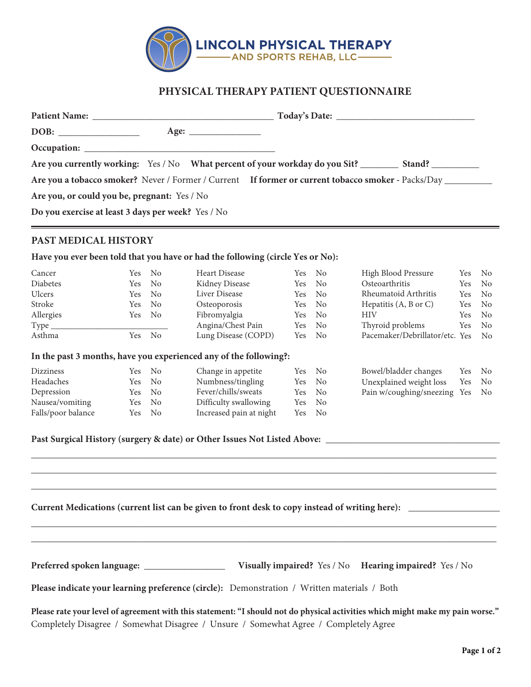

## **PHYSICAL THERAPY PATIENT QUESTIONNAIRE**

|                                                    | Are you a tobacco smoker? Never / Former / Current If former or current tobacco smoker - Packs/Day |  |
|----------------------------------------------------|----------------------------------------------------------------------------------------------------|--|
| Are you, or could you be, pregnant: Yes / No       |                                                                                                    |  |
| Do you exercise at least 3 days per week? Yes / No |                                                                                                    |  |

### **PAST MEDICAL HISTORY**

**Have you ever been told that you have or had the following (circle Yes or No):**

| Cancer        |        | Yes No | Heart Disease       | Yes No | High Blood Pressure               |     | Yes No         |
|---------------|--------|--------|---------------------|--------|-----------------------------------|-----|----------------|
| Diabetes      |        | Yes No | Kidney Disease      | Yes No | Osteoarthritis                    |     | Yes No         |
| <b>Ulcers</b> |        | Yes No | Liver Disease       | Yes No | Rheumatoid Arthritis              | Yes | No.            |
| Stroke        |        | Yes No | Osteoporosis        | Yes No | Hepatitis $(A, B \text{ or } C)$  | Yes | No.            |
| Allergies     | Yes No |        | Fibromyalgia        | Yes No | <b>HIV</b>                        |     | Yes No         |
| Type_         |        |        | Angina/Chest Pain   | Yes No | Thyroid problems                  | Yes | N <sub>o</sub> |
| Asthma        |        | Yes No | Lung Disease (COPD) | Yes No | Pacemaker/Debrillator/etc. Yes No |     |                |
|               |        |        |                     |        |                                   |     |                |

#### **In the past 3 months, have you experienced any of the following?:**

| Dizziness          | Yes No | Change in appetite      | Yes No |                | Bowel/bladder changes           | Yes No |  |
|--------------------|--------|-------------------------|--------|----------------|---------------------------------|--------|--|
| Headaches          | Yes No | Numbness/tingling       | Yes No |                | Unexplained weight loss         | Yes No |  |
| Depression         | Yes No | Fever/chills/sweats     | Yes No |                | Pain w/coughing/sneezing Yes No |        |  |
| Nausea/vomiting    | Yes No | Difficulty swallowing   | Yes No |                |                                 |        |  |
| Falls/poor balance | Yes No | Increased pain at night | Yes    | N <sub>o</sub> |                                 |        |  |

\_\_\_\_\_\_\_\_\_\_\_\_\_\_\_\_\_\_\_\_\_\_\_\_\_\_\_\_\_\_\_\_\_\_\_\_\_\_\_\_\_\_\_\_\_\_\_\_\_\_\_\_\_\_\_\_\_\_\_\_\_\_\_\_\_\_\_\_\_\_\_\_\_\_\_\_\_\_\_\_\_\_\_\_\_\_\_\_\_\_\_\_\_\_\_\_\_\_\_\_\_\_\_\_\_\_\_ \_\_\_\_\_\_\_\_\_\_\_\_\_\_\_\_\_\_\_\_\_\_\_\_\_\_\_\_\_\_\_\_\_\_\_\_\_\_\_\_\_\_\_\_\_\_\_\_\_\_\_\_\_\_\_\_\_\_\_\_\_\_\_\_\_\_\_\_\_\_\_\_\_\_\_\_\_\_\_\_\_\_\_\_\_\_\_\_\_\_\_\_\_\_\_\_\_\_\_\_\_\_\_\_\_\_\_ \_\_\_\_\_\_\_\_\_\_\_\_\_\_\_\_\_\_\_\_\_\_\_\_\_\_\_\_\_\_\_\_\_\_\_\_\_\_\_\_\_\_\_\_\_\_\_\_\_\_\_\_\_\_\_\_\_\_\_\_\_\_\_\_\_\_\_\_\_\_\_\_\_\_\_\_\_\_\_\_\_\_\_\_\_\_\_\_\_\_\_\_\_\_\_\_\_\_\_\_\_\_\_\_\_\_\_

\_\_\_\_\_\_\_\_\_\_\_\_\_\_\_\_\_\_\_\_\_\_\_\_\_\_\_\_\_\_\_\_\_\_\_\_\_\_\_\_\_\_\_\_\_\_\_\_\_\_\_\_\_\_\_\_\_\_\_\_\_\_\_\_\_\_\_\_\_\_\_\_\_\_\_\_\_\_\_\_\_\_\_\_\_\_\_\_\_\_\_\_\_\_\_\_\_\_\_\_\_\_\_\_\_\_\_ \_\_\_\_\_\_\_\_\_\_\_\_\_\_\_\_\_\_\_\_\_\_\_\_\_\_\_\_\_\_\_\_\_\_\_\_\_\_\_\_\_\_\_\_\_\_\_\_\_\_\_\_\_\_\_\_\_\_\_\_\_\_\_\_\_\_\_\_\_\_\_\_\_\_\_\_\_\_\_\_\_\_\_\_\_\_\_\_\_\_\_\_\_\_\_\_\_\_\_\_\_\_\_\_\_\_\_

**Past Surgical History (surgery & date) or Other Issues Not Listed Above:** \_\_\_\_\_\_\_\_\_\_\_\_\_\_\_\_\_\_\_\_\_\_\_\_\_\_\_\_\_\_\_\_\_\_\_\_\_\_\_\_

**Current Medications (current list can be given to front desk to copy instead of writing here):** \_\_\_\_\_\_\_\_\_\_\_\_\_\_\_\_\_\_\_\_\_

**Preferred spoken language:** \_\_\_\_\_\_\_\_\_\_\_\_\_\_\_\_\_ **Visually impaired?** Yes / No **Hearing impaired?** Yes / No

**Please indicate your learning preference (circle):** Demonstration / Written materials / Both

**Please rate your level of agreement with this statement: "I should not do physical activities which might make my pain worse."** Completely Disagree / Somewhat Disagree / Unsure / Somewhat Agree / Completely Agree

 $\equiv$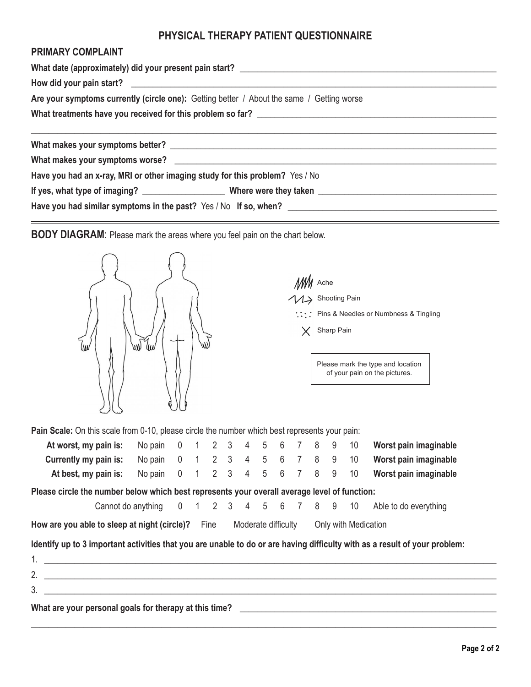# **PHYSICAL THERAPY PATIENT QUESTIONNAIRE**

## **PRIMARY COMPLAINT**

| What date (approximately) did your present pain start? __________________________         |  |  |  |  |  |  |  |  |  |  |
|-------------------------------------------------------------------------------------------|--|--|--|--|--|--|--|--|--|--|
|                                                                                           |  |  |  |  |  |  |  |  |  |  |
| Are your symptoms currently (circle one): Getting better / About the same / Getting worse |  |  |  |  |  |  |  |  |  |  |
|                                                                                           |  |  |  |  |  |  |  |  |  |  |
|                                                                                           |  |  |  |  |  |  |  |  |  |  |
|                                                                                           |  |  |  |  |  |  |  |  |  |  |
| Have you had an x-ray, MRI or other imaging study for this problem? Yes / No              |  |  |  |  |  |  |  |  |  |  |
|                                                                                           |  |  |  |  |  |  |  |  |  |  |
|                                                                                           |  |  |  |  |  |  |  |  |  |  |

**BODY DIAGRAM**: Please mark the areas where you feel pain on the chart below.



| MM Ache |                                                      |
|---------|------------------------------------------------------|
|         | 11> Shooting Pain                                    |
|         | $\therefore$ : Pins & Needles or Numbness & Tingling |
|         | $X$ Sharp Pain                                       |
|         |                                                      |

Please mark the type and location of your pain on the pictures.

| Pain Scale: On this scale from 0-10, please circle the number which best represents your pain: |                                |  |  |                     |  |  |                      |                                                                                                                            |
|------------------------------------------------------------------------------------------------|--------------------------------|--|--|---------------------|--|--|----------------------|----------------------------------------------------------------------------------------------------------------------------|
| At worst, my pain is:                                                                          | No pain 0 1 2 3 4 5 6 7 8 9 10 |  |  |                     |  |  |                      | Worst pain imaginable                                                                                                      |
| Currently my pain is:                                                                          | No pain 0 1 2 3 4 5 6 7 8 9 10 |  |  |                     |  |  |                      | Worst pain imaginable                                                                                                      |
| At best, my pain is:                                                                           | No pain 0 1 2 3 4 5 6 7 8 9 10 |  |  |                     |  |  |                      | Worst pain imaginable                                                                                                      |
| Please circle the number below which best represents your overall average level of function:   |                                |  |  |                     |  |  |                      |                                                                                                                            |
|                                                                                                |                                |  |  |                     |  |  |                      | Cannot do anything 0 1 2 3 4 5 6 7 8 9 10 Able to do everything                                                            |
| How are you able to sleep at night (circle)? Fine                                              |                                |  |  | Moderate difficulty |  |  | Only with Medication |                                                                                                                            |
|                                                                                                |                                |  |  |                     |  |  |                      | Identify up to 3 important activities that you are unable to do or are having difficulty with as a result of your problem: |
| $1.$ $\blacksquare$                                                                            |                                |  |  |                     |  |  |                      |                                                                                                                            |
| 2.                                                                                             |                                |  |  |                     |  |  |                      |                                                                                                                            |
| $3.$ $\equiv$                                                                                  |                                |  |  |                     |  |  |                      |                                                                                                                            |

\_\_\_\_\_\_\_\_\_\_\_\_\_\_\_\_\_\_\_\_\_\_\_\_\_\_\_\_\_\_\_\_\_\_\_\_\_\_\_\_\_\_\_\_\_\_\_\_\_\_\_\_\_\_\_\_\_\_\_\_\_\_\_\_\_\_\_\_\_\_\_\_\_\_\_\_\_\_\_\_\_\_\_\_\_\_\_\_\_\_\_\_\_\_\_\_\_\_\_\_\_\_\_\_\_\_\_

**What are your personal goals for therapy at this time?** \_\_\_\_\_\_\_\_\_\_\_\_\_\_\_\_\_\_\_\_\_\_\_\_\_\_\_\_\_\_\_\_\_\_\_\_\_\_\_\_\_\_\_\_\_\_\_\_\_\_\_\_\_\_\_\_\_\_\_